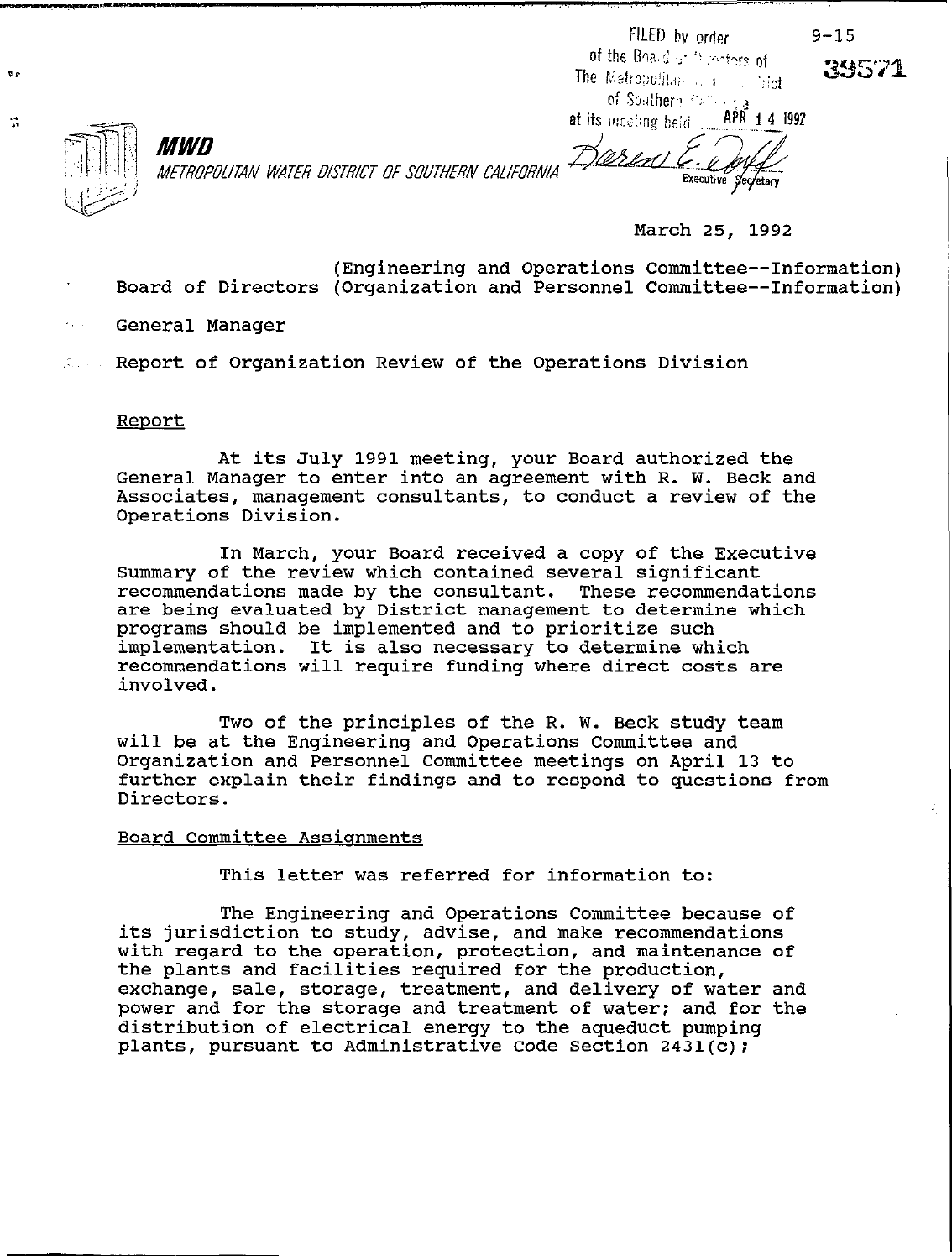FILED by order of the Board of Chicagons of The Metropolitan of a **Strict** of Southern Care  $APK$  1 4 1992 at its meeting beld

 $9 - 15$ 

39571



 $\mathbf{v}$ 

 $\mathcal{C}^{\bullet}$ 

METROPOLITAN WATER DISTRICT OF SOUTHERN CALIFORNIA

\ASIM] **Executive** Secretary

March 25, 1992

- Board of Directors (Organization and Personnel Committee--Information) (Engineering and Operations Committee--Information)
- General Manager

MWD

Report of Organization Review of the Operations Division

## Report

At its July 1991 meeting, your Board authorized the General Manager to enter into an agreement with R. W. Beck and Associates, management consultants, to conduct a review of the Operations Division.

In March, your Board received a copy of the Executive Summary of the review which contained several significant recommendations made by the consultant. These recommendations are being evaluated by District management to determine which programs should be implemented and to prioritize such implementation. It is also necessary to determine which recommendations will require funding where direct costs are involved.

Two of the principles of the R. W. Beck study team will be at the Engineering and Operations Committee and Organization and Personnel Committee meetings on April 13 to further explain their findings and to respond to questions from Directors.

## Board Committee Assignments

This letter was referred for information to:

The Engineering and Operations Committee because of its jurisdiction to study, advise, and make recommendations with regard to the operation, protection, and maintenance of the plants and facilities required for the production, exchange, sale, storage, treatment, and delivery of water and power and for the storage and treatment of water; and for the distribution of electrical energy to the aqueduct pumping plants, pursuant to Administrative Code Section 2431(c);